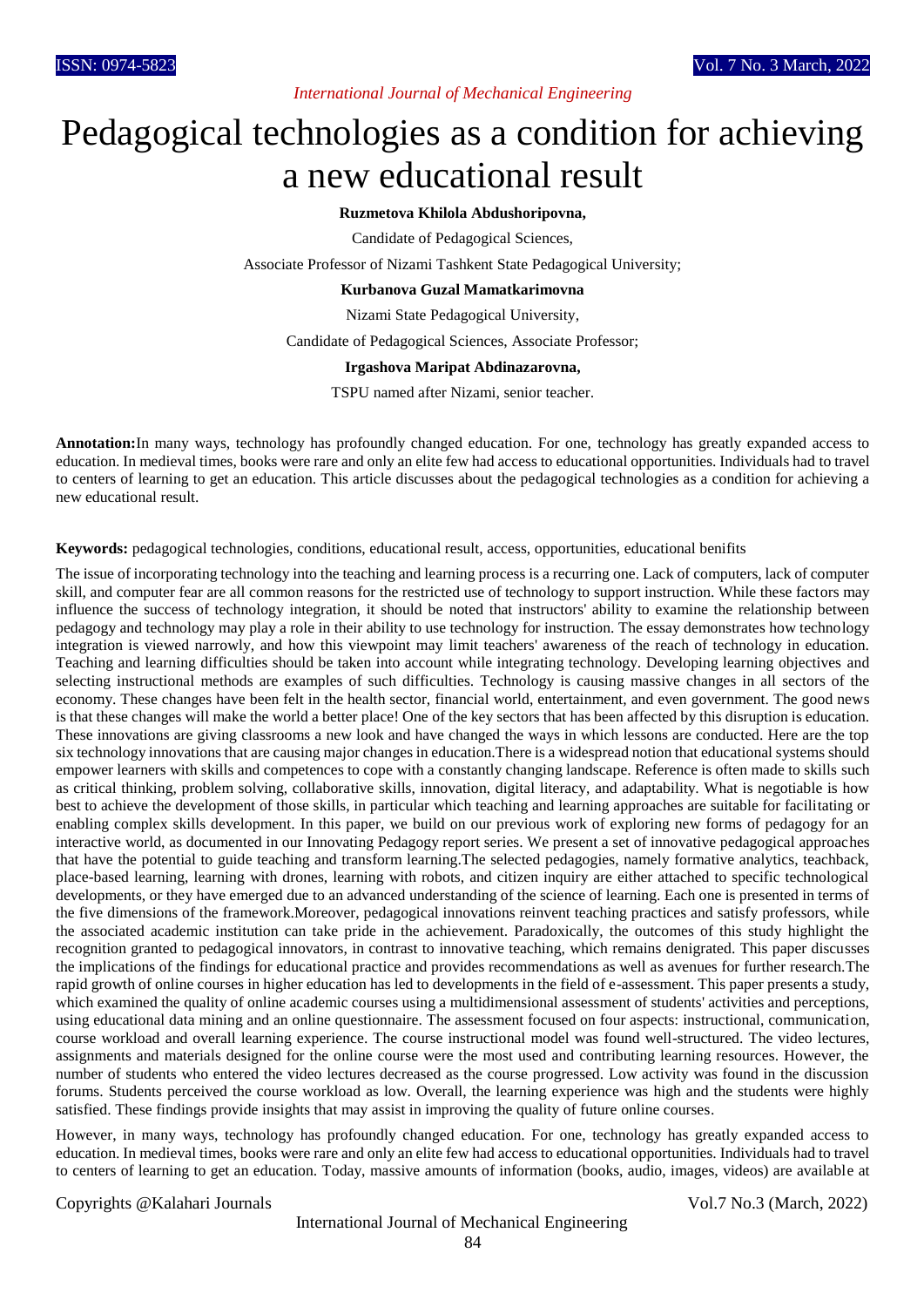# *International Journal of Mechanical Engineering*

# Pedagogical technologies as a condition for achieving a new educational result

# **Ruzmetova Khilola Abdushoripovna,**

Candidate of Pedagogical Sciences,

Associate Professor of Nizami Tashkent State Pedagogical University;

#### **Kurbanova Guzal Mamatkarimovna**

Nizami State Pedagogical University,

Candidate of Pedagogical Sciences, Associate Professor;

#### **Irgashova Maripat Abdinazarovna,**

TSPU named after Nizami, senior teacher.

**Annotation:**In many ways, technology has profoundly changed education. For one, technology has greatly expanded access to education. In medieval times, books were rare and only an elite few had access to educational opportunities. Individuals had to travel to centers of learning to get an education. This article discusses about the pedagogical technologies as a condition for achieving a new educational result.

**Keywords:** pedagogical technologies, conditions, educational result, access, opportunities, educational benifits

The issue of incorporating technology into the teaching and learning process is a recurring one. Lack of computers, lack of computer skill, and computer fear are all common reasons for the restricted use of technology to support instruction. While these factors may influence the success of technology integration, it should be noted that instructors' ability to examine the relationship between pedagogy and technology may play a role in their ability to use technology for instruction. The essay demonstrates how technology integration is viewed narrowly, and how this viewpoint may limit teachers' awareness of the reach of technology in education. Teaching and learning difficulties should be taken into account while integrating technology. Developing learning objectives and selecting instructional methods are examples of such difficulties. Technology is causing massive changes in all sectors of the economy. These changes have been felt in the health sector, financial world, entertainment, and even government. The good news is that these changes will make the world a better place! One of the key sectors that has been affected by this disruption is education. These innovations are giving classrooms a new look and have changed the ways in which lessons are conducted. Here are the top six technology innovations that are causing major changes in education.There is a widespread notion that educational systems should empower learners with skills and competences to cope with a constantly changing landscape. Reference is often made to skills such as critical thinking, problem solving, collaborative skills, innovation, digital literacy, and adaptability. What is negotiable is how best to achieve the development of those skills, in particular which teaching and learning approaches are suitable for facilitating or enabling complex skills development. In this paper, we build on our previous work of exploring new forms of pedagogy for an interactive world, as documented in our Innovating Pedagogy report series. We present a set of innovative pedagogical approaches that have the potential to guide teaching and transform learning.The selected pedagogies, namely formative analytics, teachback, place-based learning, learning with drones, learning with robots, and citizen inquiry are either attached to specific technological developments, or they have emerged due to an advanced understanding of the science of learning. Each one is presented in terms of the five dimensions of the framework.Moreover, pedagogical innovations reinvent teaching practices and satisfy professors, while the associated academic institution can take pride in the achievement. Paradoxically, the outcomes of this study highlight the recognition granted to pedagogical innovators, in contrast to innovative teaching, which remains denigrated. This paper discusses the implications of the findings for educational practice and provides recommendations as well as avenues for further research.The rapid growth of online courses in higher education has led to developments in the field of e-assessment. This paper presents a study, which examined the quality of online academic courses using a multidimensional assessment of students' activities and perceptions, using educational data mining and an online questionnaire. The assessment focused on four aspects: instructional, communication, course workload and overall learning experience. The course instructional model was found well-structured. The video lectures, assignments and materials designed for the online course were the most used and contributing learning resources. However, the number of students who entered the video lectures decreased as the course progressed. Low activity was found in the discussion forums. Students perceived the course workload as low. Overall, the learning experience was high and the students were highly satisfied. These findings provide insights that may assist in improving the quality of future online courses.

However, in many ways, technology has profoundly changed education. For one, technology has greatly expanded access to education. In medieval times, books were rare and only an elite few had access to educational opportunities. Individuals had to travel to centers of learning to get an education. Today, massive amounts of information (books, audio, images, videos) are available at

### Copyrights @Kalahari Journals Vol.7 No.3 (March, 2022)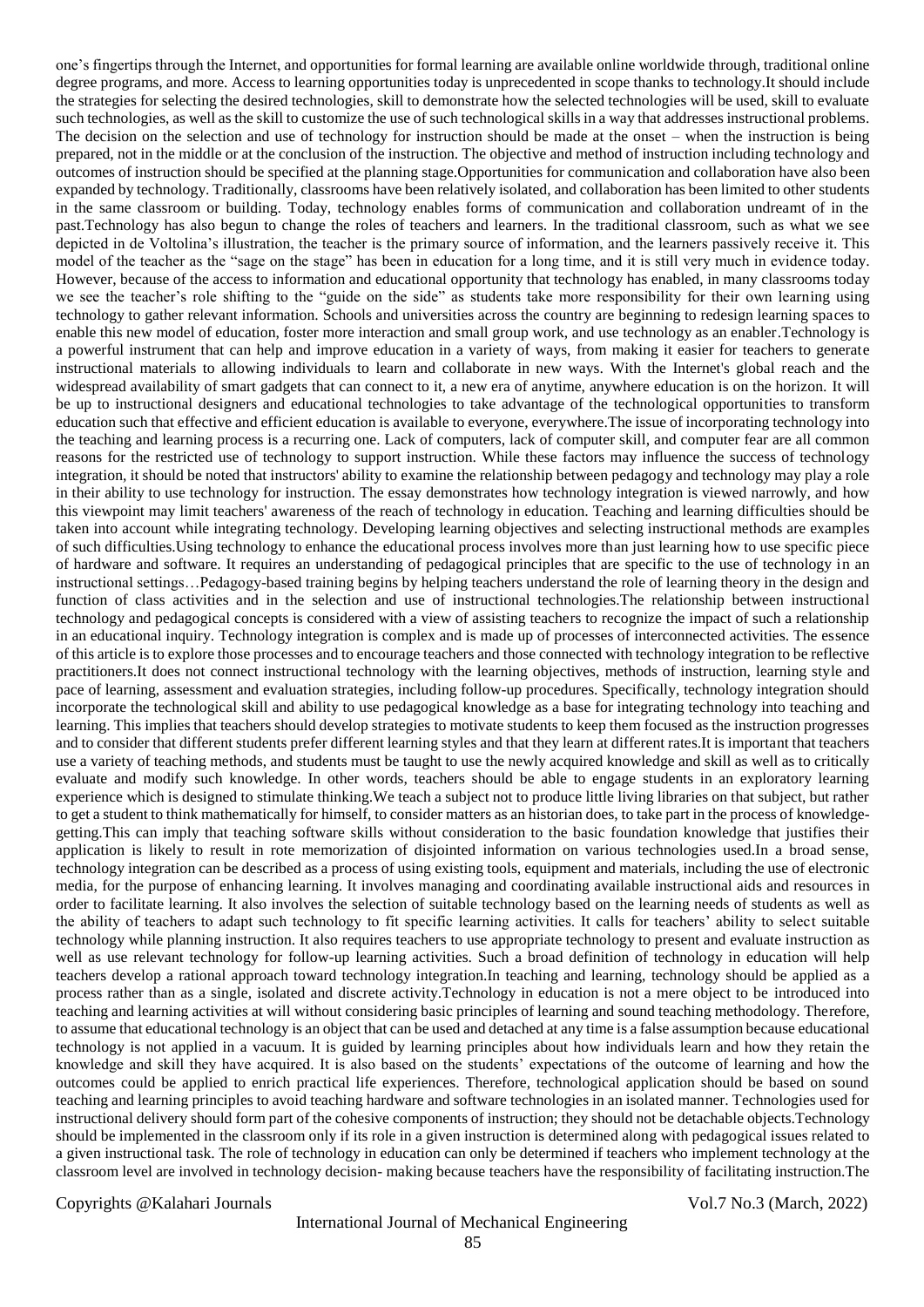one's fingertips through the Internet, and opportunities for formal learning are available online worldwide through, traditional online degree programs, and more. Access to learning opportunities today is unprecedented in scope thanks to technology.It should include the strategies for selecting the desired technologies, skill to demonstrate how the selected technologies will be used, skill to evaluate such technologies, as well as the skill to customize the use of such technological skills in a way that addresses instructional problems. The decision on the selection and use of technology for instruction should be made at the onset – when the instruction is being prepared, not in the middle or at the conclusion of the instruction. The objective and method of instruction including technology and outcomes of instruction should be specified at the planning stage.Opportunities for communication and collaboration have also been expanded by technology. Traditionally, classrooms have been relatively isolated, and collaboration has been limited to other students in the same classroom or building. Today, technology enables forms of communication and collaboration undreamt of in the past.Technology has also begun to change the roles of teachers and learners. In the traditional classroom, such as what we see depicted in de Voltolina's illustration, the teacher is the primary source of information, and the learners passively receive it. This model of the teacher as the "sage on the stage" has been in education for a long time, and it is still very much in evidence today. However, because of the access to information and educational opportunity that technology has enabled, in many classrooms today we see the teacher's role shifting to the "guide on the side" as students take more responsibility for their own learning using technology to gather relevant information. Schools and universities across the country are beginning to redesign learning spaces to enable this new model of education, foster more interaction and small group work, and use technology as an enabler.Technology is a powerful instrument that can help and improve education in a variety of ways, from making it easier for teachers to generate instructional materials to allowing individuals to learn and collaborate in new ways. With the Internet's global reach and the widespread availability of smart gadgets that can connect to it, a new era of anytime, anywhere education is on the horizon. It will be up to instructional designers and educational technologies to take advantage of the technological opportunities to transform education such that effective and efficient education is available to everyone, everywhere.The issue of incorporating technology into the teaching and learning process is a recurring one. Lack of computers, lack of computer skill, and computer fear are all common reasons for the restricted use of technology to support instruction. While these factors may influence the success of technology integration, it should be noted that instructors' ability to examine the relationship between pedagogy and technology may play a role in their ability to use technology for instruction. The essay demonstrates how technology integration is viewed narrowly, and how this viewpoint may limit teachers' awareness of the reach of technology in education. Teaching and learning difficulties should be taken into account while integrating technology. Developing learning objectives and selecting instructional methods are examples of such difficulties.Using technology to enhance the educational process involves more than just learning how to use specific piece of hardware and software. It requires an understanding of pedagogical principles that are specific to the use of technology in an instructional settings…Pedagogy-based training begins by helping teachers understand the role of learning theory in the design and function of class activities and in the selection and use of instructional technologies.The relationship between instructional technology and pedagogical concepts is considered with a view of assisting teachers to recognize the impact of such a relationship in an educational inquiry. Technology integration is complex and is made up of processes of interconnected activities. The essence of this article is to explore those processes and to encourage teachers and those connected with technology integration to be reflective practitioners.It does not connect instructional technology with the learning objectives, methods of instruction, learning style and pace of learning, assessment and evaluation strategies, including follow-up procedures. Specifically, technology integration should incorporate the technological skill and ability to use pedagogical knowledge as a base for integrating technology into teaching and learning. This implies that teachers should develop strategies to motivate students to keep them focused as the instruction progresses and to consider that different students prefer different learning styles and that they learn at different rates.It is important that teachers use a variety of teaching methods, and students must be taught to use the newly acquired knowledge and skill as well as to critically evaluate and modify such knowledge. In other words, teachers should be able to engage students in an exploratory learning experience which is designed to stimulate thinking.We teach a subject not to produce little living libraries on that subject, but rather to get a student to think mathematically for himself, to consider matters as an historian does, to take part in the process of knowledgegetting.This can imply that teaching software skills without consideration to the basic foundation knowledge that justifies their application is likely to result in rote memorization of disjointed information on various technologies used.In a broad sense, technology integration can be described as a process of using existing tools, equipment and materials, including the use of electronic media, for the purpose of enhancing learning. It involves managing and coordinating available instructional aids and resources in order to facilitate learning. It also involves the selection of suitable technology based on the learning needs of students as well as the ability of teachers to adapt such technology to fit specific learning activities. It calls for teachers' ability to select suitable technology while planning instruction. It also requires teachers to use appropriate technology to present and evaluate instruction as well as use relevant technology for follow-up learning activities. Such a broad definition of technology in education will help teachers develop a rational approach toward technology integration.In teaching and learning, technology should be applied as a process rather than as a single, isolated and discrete activity.Technology in education is not a mere object to be introduced into teaching and learning activities at will without considering basic principles of learning and sound teaching methodology. Therefore, to assume that educational technology is an object that can be used and detached at any time is a false assumption because educational technology is not applied in a vacuum. It is guided by learning principles about how individuals learn and how they retain the knowledge and skill they have acquired. It is also based on the students' expectations of the outcome of learning and how the outcomes could be applied to enrich practical life experiences. Therefore, technological application should be based on sound teaching and learning principles to avoid teaching hardware and software technologies in an isolated manner. Technologies used for instructional delivery should form part of the cohesive components of instruction; they should not be detachable objects.Technology should be implemented in the classroom only if its role in a given instruction is determined along with pedagogical issues related to a given instructional task. The role of technology in education can only be determined if teachers who implement technology at the classroom level are involved in technology decision- making because teachers have the responsibility of facilitating instruction.The

#### Copyrights @Kalahari Journals Vol.7 No.3 (March, 2022)

#### International Journal of Mechanical Engineering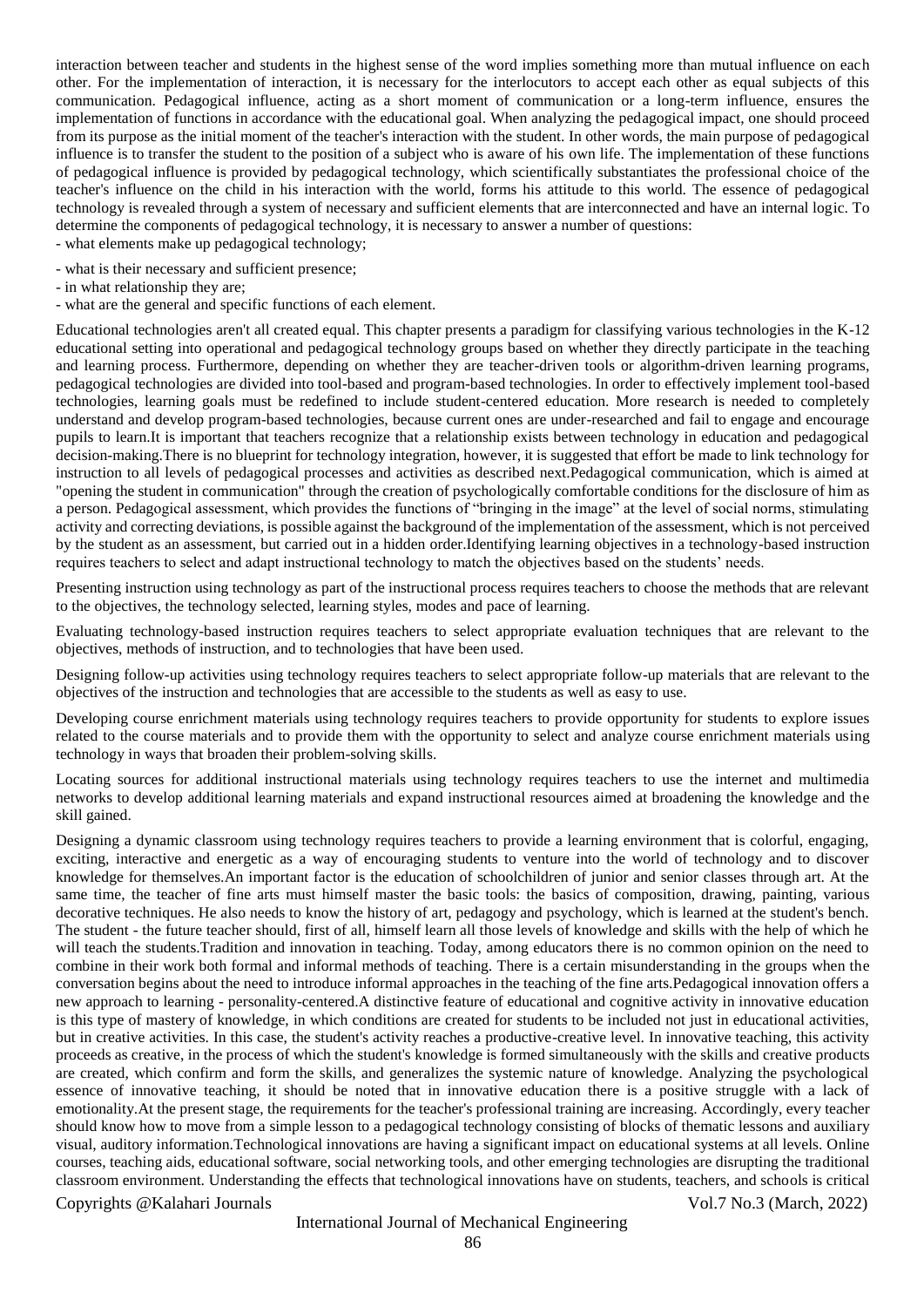interaction between teacher and students in the highest sense of the word implies something more than mutual influence on each other. For the implementation of interaction, it is necessary for the interlocutors to accept each other as equal subjects of this communication. Pedagogical influence, acting as a short moment of communication or a long-term influence, ensures the implementation of functions in accordance with the educational goal. When analyzing the pedagogical impact, one should proceed from its purpose as the initial moment of the teacher's interaction with the student. In other words, the main purpose of pedagogical influence is to transfer the student to the position of a subject who is aware of his own life. The implementation of these functions of pedagogical influence is provided by pedagogical technology, which scientifically substantiates the professional choice of the teacher's influence on the child in his interaction with the world, forms his attitude to this world. The essence of pedagogical technology is revealed through a system of necessary and sufficient elements that are interconnected and have an internal logic. To determine the components of pedagogical technology, it is necessary to answer a number of questions: - what elements make up pedagogical technology;

- what is their necessary and sufficient presence;
- in what relationship they are;
- what are the general and specific functions of each element.

Educational technologies aren't all created equal. This chapter presents a paradigm for classifying various technologies in the K-12 educational setting into operational and pedagogical technology groups based on whether they directly participate in the teaching and learning process. Furthermore, depending on whether they are teacher-driven tools or algorithm-driven learning programs, pedagogical technologies are divided into tool-based and program-based technologies. In order to effectively implement tool-based technologies, learning goals must be redefined to include student-centered education. More research is needed to completely understand and develop program-based technologies, because current ones are under-researched and fail to engage and encourage pupils to learn.It is important that teachers recognize that a relationship exists between technology in education and pedagogical decision-making.There is no blueprint for technology integration, however, it is suggested that effort be made to link technology for instruction to all levels of pedagogical processes and activities as described next.Pedagogical communication, which is aimed at "opening the student in communication" through the creation of psychologically comfortable conditions for the disclosure of him as a person. Pedagogical assessment, which provides the functions of "bringing in the image" at the level of social norms, stimulating activity and correcting deviations, is possible against the background of the implementation of the assessment, which is not perceived by the student as an assessment, but carried out in a hidden order.Identifying learning objectives in a technology-based instruction requires teachers to select and adapt instructional technology to match the objectives based on the students' needs.

Presenting instruction using technology as part of the instructional process requires teachers to choose the methods that are relevant to the objectives, the technology selected, learning styles, modes and pace of learning.

Evaluating technology-based instruction requires teachers to select appropriate evaluation techniques that are relevant to the objectives, methods of instruction, and to technologies that have been used.

Designing follow-up activities using technology requires teachers to select appropriate follow-up materials that are relevant to the objectives of the instruction and technologies that are accessible to the students as well as easy to use.

Developing course enrichment materials using technology requires teachers to provide opportunity for students to explore issues related to the course materials and to provide them with the opportunity to select and analyze course enrichment materials using technology in ways that broaden their problem-solving skills.

Locating sources for additional instructional materials using technology requires teachers to use the internet and multimedia networks to develop additional learning materials and expand instructional resources aimed at broadening the knowledge and the skill gained.

Designing a dynamic classroom using technology requires teachers to provide a learning environment that is colorful, engaging, exciting, interactive and energetic as a way of encouraging students to venture into the world of technology and to discover knowledge for themselves.An important factor is the education of schoolchildren of junior and senior classes through art. At the same time, the teacher of fine arts must himself master the basic tools: the basics of composition, drawing, painting, various decorative techniques. He also needs to know the history of art, pedagogy and psychology, which is learned at the student's bench. The student - the future teacher should, first of all, himself learn all those levels of knowledge and skills with the help of which he will teach the students.Tradition and innovation in teaching. Today, among educators there is no common opinion on the need to combine in their work both formal and informal methods of teaching. There is a certain misunderstanding in the groups when the conversation begins about the need to introduce informal approaches in the teaching of the fine arts.Pedagogical innovation offers a new approach to learning - personality-centered.A distinctive feature of educational and cognitive activity in innovative education is this type of mastery of knowledge, in which conditions are created for students to be included not just in educational activities, but in creative activities. In this case, the student's activity reaches a productive-creative level. In innovative teaching, this activity proceeds as creative, in the process of which the student's knowledge is formed simultaneously with the skills and creative products are created, which confirm and form the skills, and generalizes the systemic nature of knowledge. Analyzing the psychological essence of innovative teaching, it should be noted that in innovative education there is a positive struggle with a lack of emotionality.At the present stage, the requirements for the teacher's professional training are increasing. Accordingly, every teacher should know how to move from a simple lesson to a pedagogical technology consisting of blocks of thematic lessons and auxiliary visual, auditory information.Technological innovations are having a significant impact on educational systems at all levels. Online courses, teaching aids, educational software, social networking tools, and other emerging technologies are disrupting the traditional classroom environment. Understanding the effects that technological innovations have on students, teachers, and schools is critical

Copyrights @Kalahari Journals Vol.7 No.3 (March, 2022)

# International Journal of Mechanical Engineering